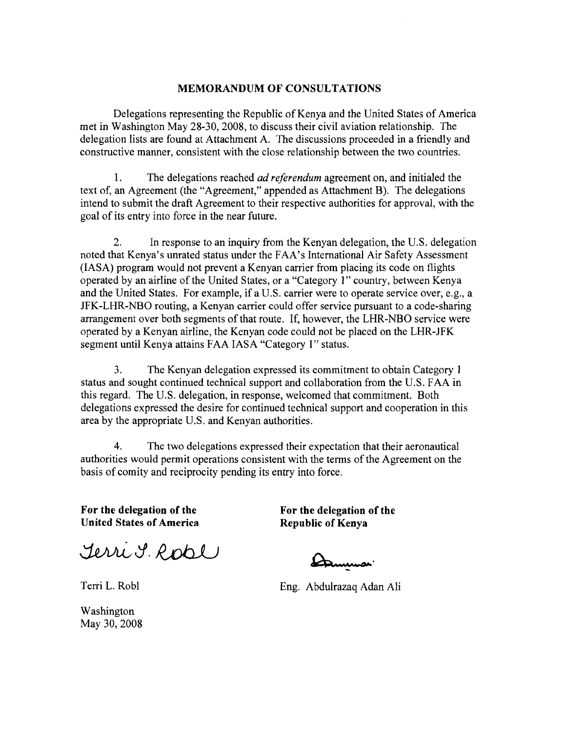#### **MEMORANDUM OF CONSULTATIONS**

Delegations representing the Republic of Kenya and the United States of America met in Washington May 28-30, 2008, to discuss their civil aviation relationship. The delegation lists are found at Attachment A. The discussions proceeded in a friendly and constructive manner, consistent with the close relationship between the two countries.

1. The delegations reached *ad referendum* agreement on, and initialed the text of, an Agreement (the "Agreement," appended as Attachment B). The delegations intend to submit the draft Agreement to their respective authorities for approval, with the goal of its entry into force in the near future.

2. In response to an inquiry from the Kenyan delegation, the U.S. delegation noted that Kenya's unrated status under the FAA's International Air Safety Assessment (IASA) program would not prevent a Kenyan carrier from placing its code on flights operated by an airline of the United States, or a "Category 1" country, between Kenya and the United States. For example, if a U.S. carrier were to operate service over, e.g., a JFK-LHR-NBO routing, a Kenyan carrier could offer service pursuant to a code-sharing arrangement over both segments of that route. If, however, the LHR-NBO service were operated by a Kenyan airline, the Kenyan code could not be placed on the LHR-JFK segment until Kenya attains FAA IASA "Category 1" status.

3. The Kenyan delegation expressed its commitment to obtain Category 1 status and sought continued technical support and collaboration from the U.S. FAA in this regard. The U.S. delegation, in response, welcomed that commitment. Both delegations expressed the desire for continued technical support and cooperation in this area by the appropriate U.S. and Kenyan authorities.

4. The two delegations expressed their expectation that their aeronautical authorities would permit operations consistent with the terms of the Agreement on the basis of comity and reciprocity pending its entry into force.

For the delegation of the **For the delegation of the United States of America Republic of Kenya** 

Jerri 9. Robl

**Dinnes** 

Terri L. Robl Eng. Abdulrazaq Adan Ali

Washington May 30,2008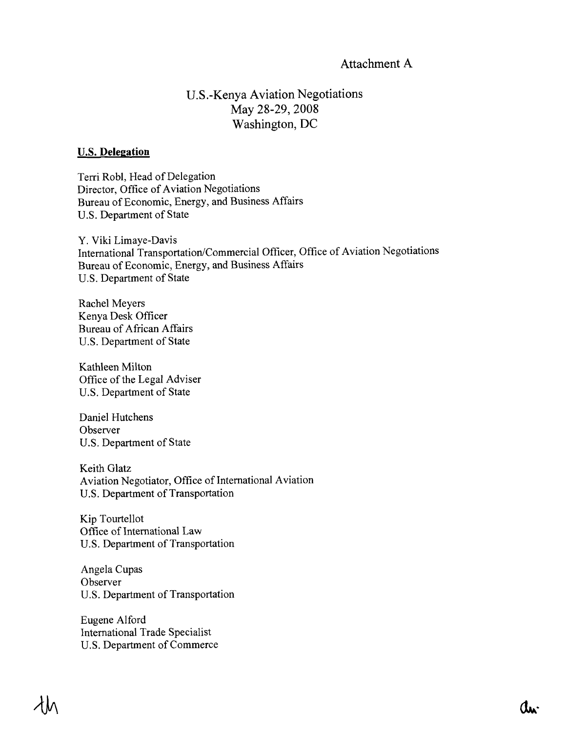#### Attachment A

## U.S.-Kenya Aviation Negotiations May 28-29,2008 Washington, DC

#### **U.S. Delegation**

Terri Robl, Head of Delegation Director, Office of Aviation Negotiations Bureau of Economic, Energy, and Business Affairs U.S. Department of State

Y. Viki Limaye-Davis International Transportation/Commercial Officer, Office of Aviation Negotiations Bureau of Economic, Energy, and Business Affairs U.S. Department of State

Rachel Meyers Kenya Desk Officer Bureau of African Affairs U.S. Department of State

Kathleen Milton Office of the Legal Adviser U.S. Department of State

Daniel Hutchens Observer U.S. Department of State

Keith Glatz Aviation Negotiator, Office of International Aviation U.S. Department of Transportation

Kip Tourtellot Office of International Law U.S. Department of Transportation

Angela Cupas Observer U.S. Department of Transportation

Eugene Alford International Trade Specialist U.S. Department of Commerce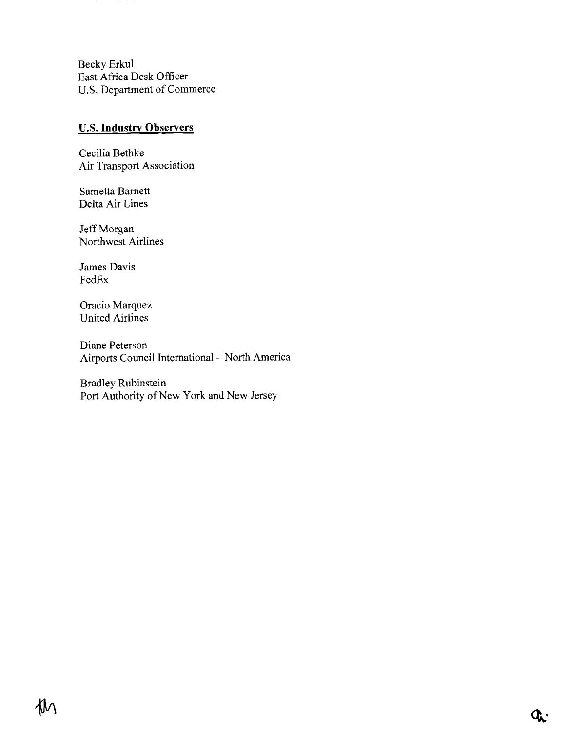Becky Erkul East Africa Desk Officer U.S. Department of Commerce

 $\alpha$  -  $\alpha$  -  $\alpha$  -  $\alpha$ 

#### **U.S. Industry Observers**

Cecilia Bethke Air Transport Association

Sametta Barnett Delta Air Lines

Jeff Morgan Northwest Airlines

James Davis FedEx

Oracio Marquez United Airlines

Diane Peterson Airports Council International -North America

Bradley Rubinstein Port Authority of New York and New Jersey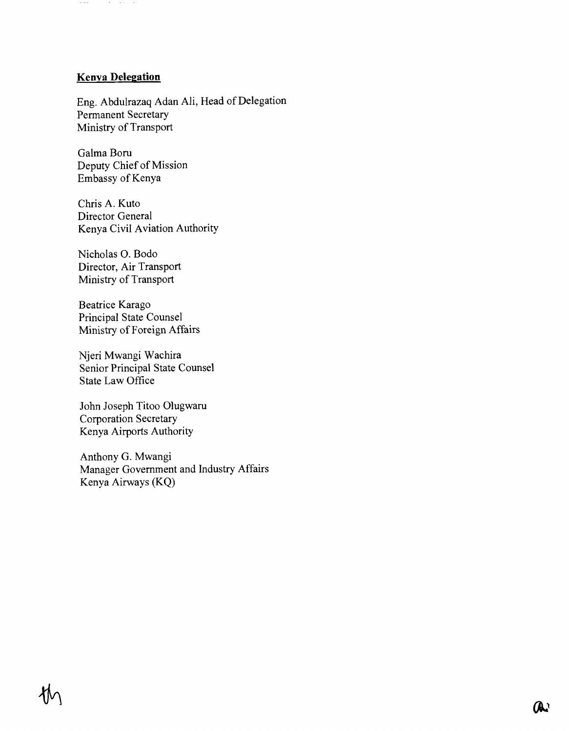#### **Kenva Delepation**

 $\sim 10^{-1}$  ,  $\sim 10^{-1}$  $\sim$   $\sim$ 

 $\sim$   $\sim$   $\sim$ 

Eng. Abdulrazaq Adan Ali, Head of Delegation Permanent Secretary Ministry of Transport

Galma Boru Deputy Chief of Mission Embassy of Kenya

Chris A. Kuto Director General Kenya Civil Aviation Authority

Nicholas 0.Bodo Director, Air Transport Ministry of Transport

Beatrice Karago Principal State Counsel Ministry of Foreign Affairs

Njeri Mwangi Wachira Senior Principal State Counsel State Law Office

John Joseph Titoo Olugwaru Corporation Secretary Kenya Airports Authority

Anthony G. Mwangi Manager Government and Industry Affairs Kenya Airways (KQ)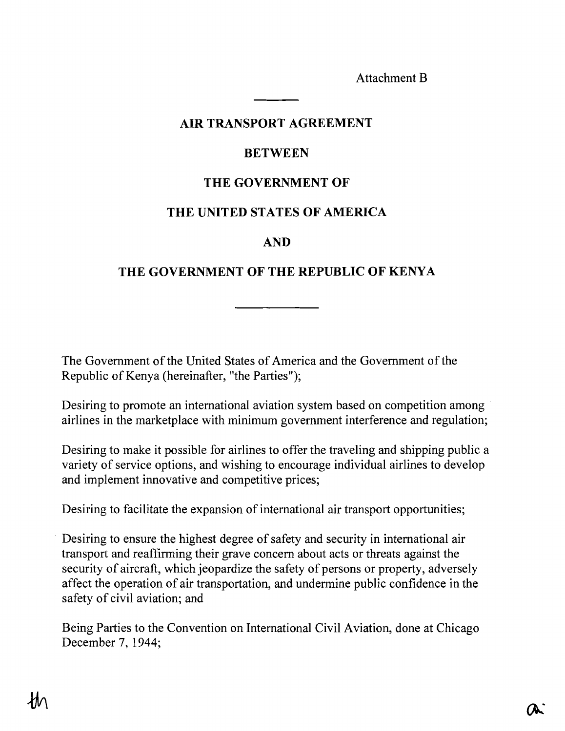Attachment B

# **AIR TRANSPORT AGREEMENT**

## **BETWEEN**

# **THE GOVERNMENT OF**

## **THE UNITED STATES OF AMERICA**

### **AND**

# **THE GOVERNMENT OF THE REPUBLIC OF KENYA**

The Government of the United States of America and the Government of the Republic of Kenya (hereinafter, "the Parties");

Desiring to promote an international aviation system based on competition among airlines in the marketplace with minimum government interference and regulation;

Desiring to make it possible for airlines to offer the traveling and shipping public a variety of service options, and wishing to encourage individual airlines to develop and implement innovative and competitive prices;

Desiring to facilitate the expansion of international air transport opportunities;

Desiring to ensure the highest degree of safety and security in international air transport and reaffirming their grave concern about acts or threats against the security of aircraft, which jeopardize the safety of persons or property, adversely affect the operation of air transportation, and undermine public confidence in the safety of civil aviation; and

Being Parties to the Convention on International Civil Aviation, done at Chicago December 7, 1944;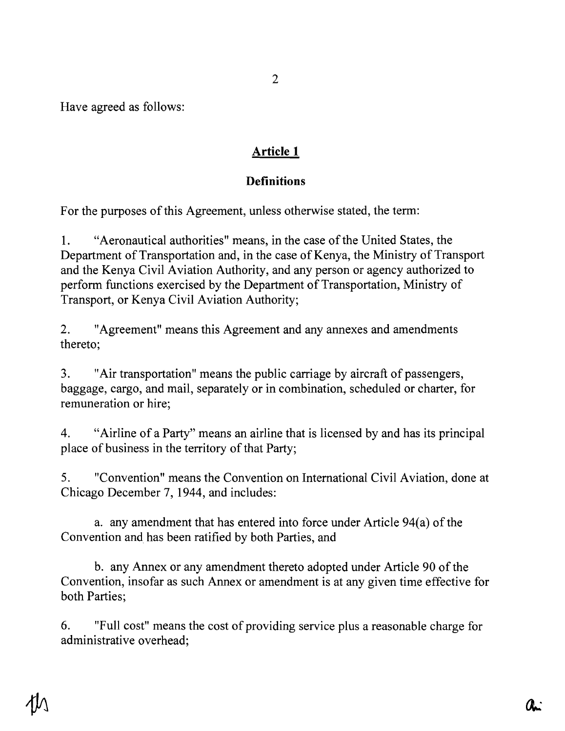$\overline{2}$ 

Have agreed as follows:

# **Article 1**

# **Definitions**

For the purposes of this Agreement, unless otherwise stated, the term:

1. "Aeronautical authorities" means, in the case of the United States, the Department of Transportation and, in the case of Kenya, the Ministry of Transport and the Kenya Civil Aviation Authority, and any person or agency authorized to perform functions exercised by the Department of Transportation, Ministry of Transport, or Kenya Civil Aviation Authority;

2. "Agreement" means this Agreement and any annexes and amendments thereto;

**3.** "Air transportation" means the public carriage by aircraft of passengers, baggage, cargo, and mail, separately or in combination, scheduled or charter, for remuneration or hire;

4. "Airline of a Party" means an airline that is licensed by and has its principal place of business in the territory of that Party;

*5.* "Convention" means the Convention on International Civil Aviation, done at Chicago December 7, 1944, and includes:

a. any amendment that has entered into force under Article 94(a) of the Convention and has been ratified by both Parties, and

b. any Annex or any amendment thereto adopted under Article 90 of the Convention, insofar as such Annex or amendment is at any given time effective for both Parties;

*6.* "Full cost" means the cost of providing service plus a reasonable charge for administrative overhead;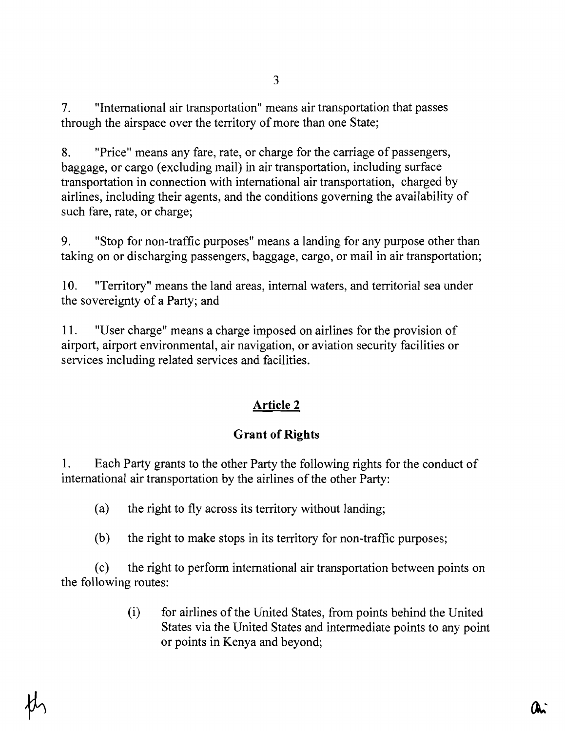7. "International air transportation" means air transportation that passes through the airspace over the territory of more than one State;

**8.** "Price" means any fare, rate, or charge for the carriage of passengers, baggage, or cargo (excluding mail) in air transportation, including surface transportation in connection with international air transportation, charged by airlines, including their agents, and the conditions governing the availability of such fare, rate, or charge;

9. "Stop for non-traffic purposes" means a landing for any purpose other than taking on or discharging passengers, baggage, cargo, or mail in air transportation;

10. "Territory" means the land areas, internal waters, and territorial sea under the sovereignty of a Party; and

11. "User charge" means a charge imposed on airlines for the provision of airport, airport environmental, air navigation, or aviation security facilities or services including related services and facilities.

# **Article 2**

# **Grant of Rights**

1. Each Party grants to the other Party the following rights for the conduct of international air transportation by the airlines of the other Party:

- (a) the right to fly across its territory without landing;
- (b) the right to make stops in its territory for non-traffic purposes;

(c) the right to perform international air transportation between points on the following routes:

> (i) for airlines of the United States, from points behind the United States via the United States and intermediate points to any point or points in Kenya and beyond;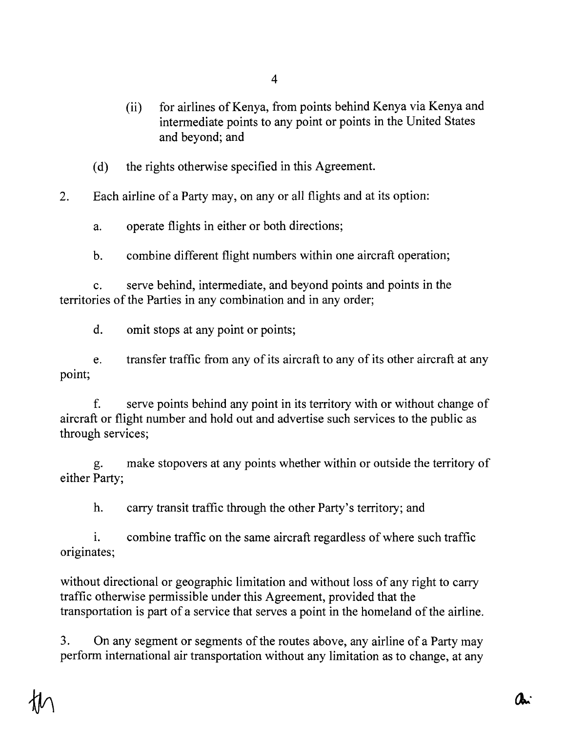$\overline{4}$ 

- (ii) for airlines of Kenya, from points behind Kenya via Kenya and intermediate points to any point or points in the United States and beyond; and
- (d) the rights otherwise specified in this Agreement.

2. Each airline of a Party may, on any or all flights and at its option:

- a. operate flights in either or both directions;
- b. combine different flight numbers within one aircraft operation;

c. serve behind, intermediate, and beyond points and points in the territories of the Parties in any combination and in any order;

d. omit stops at any point or points;

e. transfer traffic from any of its aircraft to any of its other aircraft at any point;

f. serve points behind any point in its territory with or without change of aircraft or flight number and hold out and advertise such services to the public as through services;

g. make stopovers at any points whether within or outside the territory of either Party;

h. carry transit traffic through the other Party's territory; and

i. combine traffic on the same aircraft regardless of where such traffic originates;

without directional or geographic limitation and without loss of any right to carry traffic otherwise permissible under this Agreement, provided that the transportation is part of a service that serves a point in the homeland of the airline.

**3.** On any segment or segments of the routes above, any airline of a Party may perform international air transportation without any limitation as to change, at any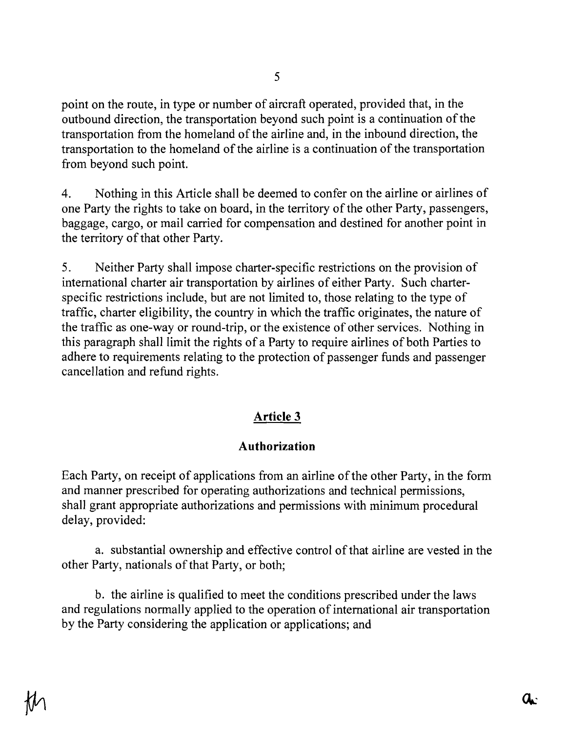point on the route, in type or number of aircraft operated, provided that, in the outbound direction, the transportation beyond such point is a continuation of the transportation from the homeland of the airline and, in the inbound direction, the transportation to the homeland of the airline is a continuation of the transportation from beyond such point.

4. Nothing in this Article shall be deemed to confer on the airline or airlines of one Party the rights to take on board, in the territory of the other Party, passengers, baggage, cargo, or mail carried for compensation and destined for another point in the territory of that other Party.

*5.* Neither Party shall impose charter-specific restrictions on the provision of international charter air transportation by airlines of either Party. Such charterspecific restrictions include, but are not limited to, those relating to the type of traffic, charter eligibility, the country in which the traffic originates, the nature of the traffic as one-way or round-trip, or the existence of other services. Nothing in this paragraph shall limit the rights of a Party to require airlines of both Parties to adhere to requirements relating to the protection of passenger funds and passenger cancellation and refund rights.

## **Article 3**

## **Authorization**

Each Party, on receipt of applications from an airline of the other Party, in the form and manner prescribed for operating authorizations and technical permissions, shall grant appropriate authorizations and permissions with minimum procedural delay, provided:

a. substantial ownership and effective control of that airline are vested in the other Party, nationals of that Party, or both;

b. the airline is qualified to meet the conditions prescribed under the laws and regulations normally applied to the operation of international air transportation by the Party considering the application or applications; and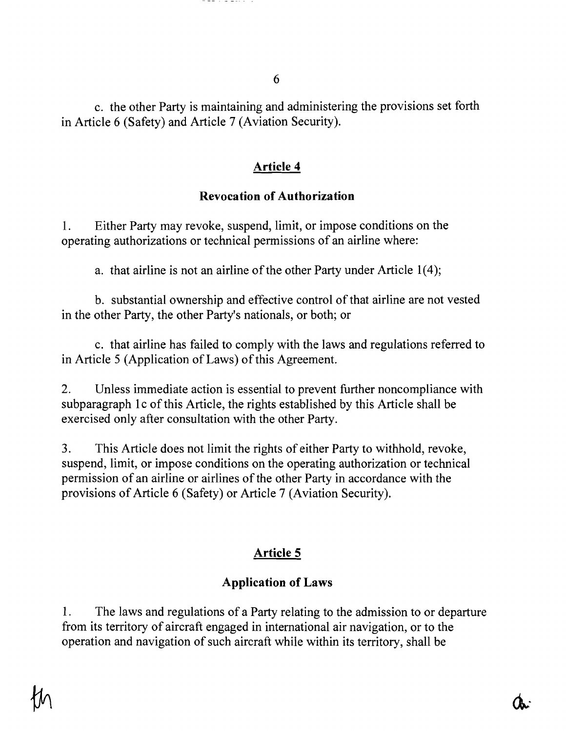6

c. the other Party is maintaining and administering the provisions set forth in Article 6 (Safety) and Article 7 (Aviation Security).

# **Article 4**

# **Revocation of Authorization**

1. Either Party may revoke, suspend, limit, or impose conditions on the operating authorizations or technical permissions of an airline where:

a. that airline is not an airline of the other Party under Article l(4);

b. substantial ownership and effective control of that airline are not vested in the other Party, the other Party's nationals, or both; or

c. that airline has failed to comply with the laws and regulations referred to in Article 5 (Application of Laws) of this Agreement.

2. Unless immediate action is essential to prevent further noncompliance with subparagraph 1c of this Article, the rights established by this Article shall be exercised only after consultation with the other Party.

**3.** This Article does not limit the rights of either Party to withhold, revoke, suspend, limit, or impose conditions on the operating authorization or technical permission of an airline or airlines of the other Party in accordance with the provisions of Article 6 (Safety) or Article 7 (Aviation Security).

# **Article 5**

# **Application of Laws**

1. The laws and regulations of a Party relating to the admission to or departure from its territory of aircraft engaged in international air navigation, or to the operation and navigation of such aircraft while within its territory, shall be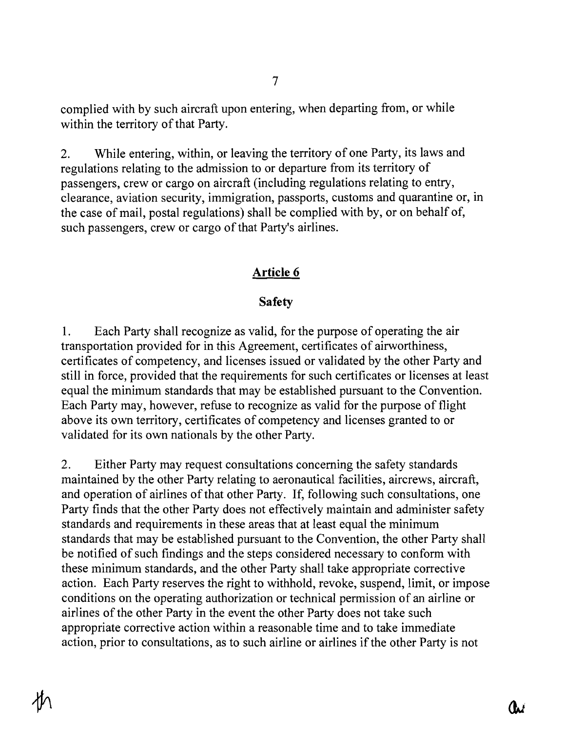complied with by such aircraft upon entering, when departing from, or while within the territory of that Party.

2. While entering, within, or leaving the territory of one Party, its laws and regulations relating to the admission to or departure from its territory of passengers, crew or cargo on aircraft (including regulations relating to entry, clearance, aviation security, immigration, passports, customs and quarantine or, in the case of mail, postal regulations) shall be complied with by, or on behalf of, such passengers, crew or cargo of that Party's airlines.

### Article 6

### **Safety**

1. Each Party shall recognize as valid, for the purpose of operating the air transportation provided for in this Agreement, certificates of airworthiness, certificates of competency, and licenses issued or validated by the other Party and still in force, provided that the requirements for such certificates or licenses at least equal the minimum standards that may be established pursuant to the Convention. Each Party may, however, refuse to recognize as valid for the purpose of flight above its own territory, certificates of competency and licenses granted to or validated for its own nationals by the other Party.

2. Either Party may request consultations concerning the safety standards maintained by the other Party relating to aeronautical facilities, aircrews, aircraft, and operation of airlines of that other Party. If, following such consultations, one Party finds that the other Party does not effectively maintain and administer safety standards and requirements in these areas that at least equal the minimum standards that may be established pursuant to the Convention, the other Party shall be notified of such findings and the steps considered necessary to conform with these minimum standards, and the other Party shall take appropriate corrective action. Each Party reserves the right to withhold, revoke, suspend, limit, or impose conditions on the operating authorization or technical permission of an airline or airlines of the other Party in the event the other Party does not take such appropriate corrective action within a reasonable time and to take immediate action, prior to consultations, as to such airline or airlines if the other Party is not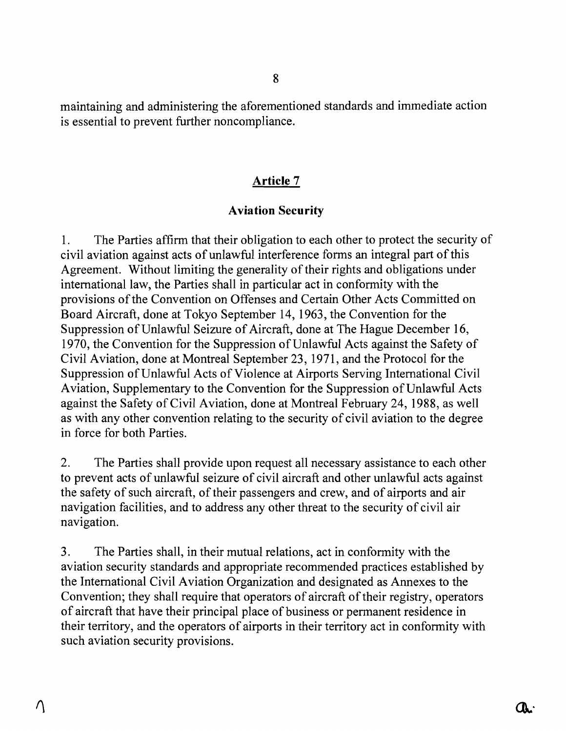maintaining and administering the aforementioned standards and immediate action is essential to prevent further noncompliance.

#### **Article 7**

### **Aviation Security**

1. The Parties affirm that their obligation to each other to protect the security of civil aviation against acts of unlawful interference forms an integral part of this Agreement. Without limiting the generality of their rights and obligations under international law, the Parties shall in particular act in conformity with the provisions of the Convention on Offenses and Certain Other Acts Committed on Board Aircraft, done at Tokyo September 14, 1963, the Convention for the Suppression of Unlawful Seizure of Aircraft, done at The Hague December 16, 1970, the Convention for the Suppression of Unlawful Acts against the Safety of Civil Aviation, done at Montreal September 23, 1971, and the Protocol for the Suppression of Unlawful Acts of Violence at Airports Serving International Civil Aviation, Supplementary to the Convention for the Suppression of Unlawful Acts against the Safety of Civil Aviation, done at Montreal February 24, 1988, as well as with any other convention relating to the security of civil aviation to the degree in force for both Parties.

2. The Parties shall provide upon request all necessary assistance to each other to prevent acts of unlawful seizure of civil aircraft and other unlawful acts against the safety of such aircraft, of their passengers and crew, and of airports and air navigation facilities, and to address any other threat to the security of civil air navigation.

3. The Parties shall, in their mutual relations, act in conformity with the aviation security standards and appropriate recommended practices established by the International Civil Aviation Organization and designated as Annexes to the Convention; they shall require that operators of aircraft of their registry, operators of aircraft that have their principal place of business or permanent residence in their territory, and the operators of airports in their territory act in conformity with such aviation security provisions.

 $\mathbf{a}$ .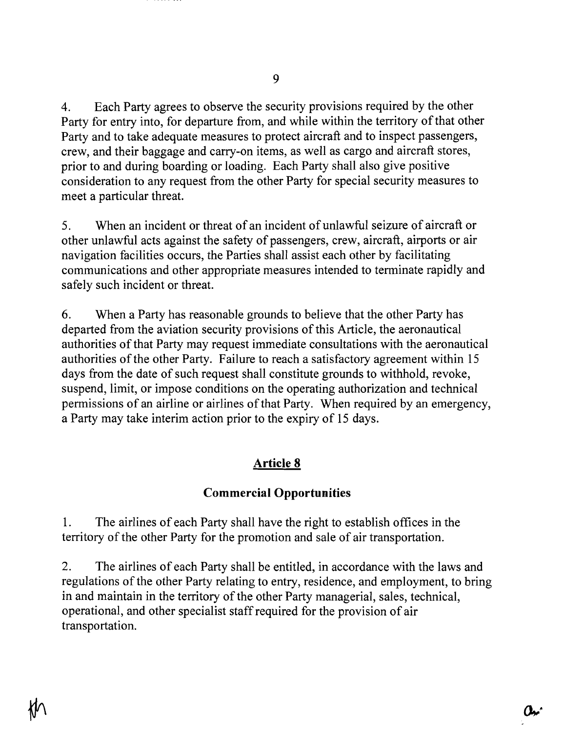4. Each Party agrees to observe the security provisions required by the other Party for entry into, for departure from, and while within the territory of that other Party and to take adequate measures to protect aircraft and to inspect passengers, crew, and their baggage and carry-on items, as well as cargo and aircraft stores, prior to and during boarding or loading. Each Party shall also give positive consideration to any request from the other Party for special security measures to meet a particular threat.

*5.* When an incident or threat of an incident of unlawful seizure of aircraft or other unlawful acts against the safety of passengers, crew, aircraft, airports or air navigation facilities occurs, the Parties shall assist each other by facilitating communications and other appropriate measures intended to terminate rapidly and safely such incident or threat.

**6.** When a Party has reasonable grounds to believe that the other Party has departed from the aviation security provisions of this Article, the aeronautical authorities of that Party may request immediate consultations with the aeronautical authorities of the other Party. Failure to reach a satisfactory agreement within 15 days from the date of such request shall constitute grounds to withhold, revoke, suspend, limit, or impose conditions on the operating authorization and technical permissions of an airline or airlines of that Party. When required by an emergency, a Party may take interim action prior to the expiry of 15 days.

# **Article 8**

# **Commercial Opportunities**

1. The airlines of each Party shall have the right to establish offices in the territory of the other Party for the promotion and sale of air transportation.

2. The airlines of each Party shall be entitled, in accordance with the laws and regulations of the other Party relating to entry, residence, and employment, to bring in and maintain in the territory of the other Party managerial, sales, technical, operational, and other specialist staff required for the provision of air transportation.

ዑ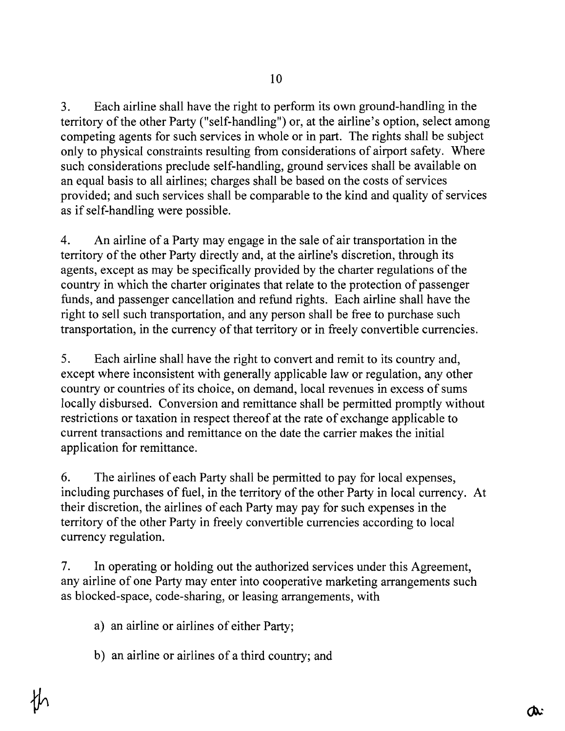*3.* Each airline shall have the right to perform its own ground-handling in the territory of the other Party ("self-handling") or, at the airline's option, select among competing agents for such services in whole or in part. The rights shall be subject only to physical constraints resulting from considerations of airport safety. Where such considerations preclude self-handling, ground services shall be available on an equal basis to all airlines; charges shall be based on the costs of services provided; and such services shall be comparable to the kind and quality of services as if self-handling were possible.

4. An airline of a Party may engage in the sale of air transportation in the territory of the other Party directly and, at the airline's discretion, through its agents, except as may be specifically provided by the charter regulations of the country in which the charter originates that relate to the protection of passenger funds, and passenger cancellation and refund rights. Each airline shall have the right to sell such transportation, and any person shall be free to purchase such transportation, in the currency of that territory or in freely convertible currencies.

*5.* Each airline shall have the right to convert and remit to its country and, except where inconsistent with generally applicable law or regulation, any other country or countries of its choice, on demand, local revenues in excess of sums locally disbursed. Conversion and remittance shall be permitted promptly without restrictions or taxation in respect thereof at the rate of exchange applicable to current transactions and remittance on the date the carrier makes the initial application for remittance.

**6.** The airlines of each Party shall be permitted to pay for local expenses, including purchases of fuel, in the territory of the other Party in local currency. At their discretion, the airlines of each Party may pay for such expenses in the territory of the other Party in freely convertible currencies according to local currency regulation.

7. In operating or holding out the authorized services under this Agreement, any airline of one Party may enter into cooperative marketing arrangements such as blocked-space, code-sharing, or leasing arrangements, with

- a) an airline or airlines of either Party;
- b) an airline or airlines of a third country; and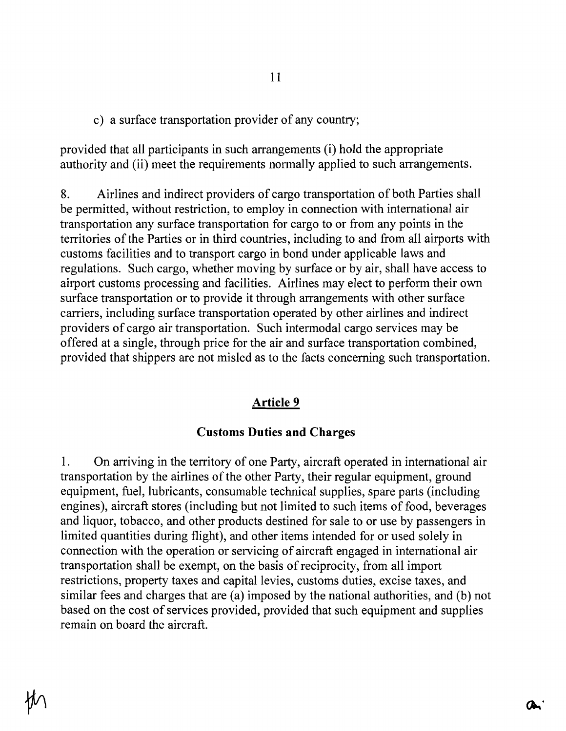c) a surface transportation provider of any country;

provided that all participants in such arrangements (i) hold the appropriate authority and (ii) meet the requirements normally applied to such arrangements.

**8.** Airlines and indirect providers of cargo transportation of both Parties shall be permitted, without restriction, to employ in connection with international air transportation any surface transportation for cargo to or from any points in the territories of the Parties or in third countries, including to and from all airports with customs facilities and to transport cargo in bond under applicable laws and regulations. Such cargo, whether moving by surface or by air, shall have access to airport customs processing and facilities. Airlines may elect to perform their own surface transportation or to provide it through arrangements with other surface carriers, including surface transportation operated by other airlines and indirect providers of cargo air transportation. Such intermodal cargo services may be offered at a single, through price for the air and surface transportation combined, provided that shippers are not misled as to the facts concerning such transportation.

### **Article 9**

### **Customs Duties and Charges**

1. On arriving in the territory of one Party, aircraft operated in international air transportation by the airlines of the other Party, their regular equipment, ground equipment, fuel, lubricants, consumable technical supplies, spare parts (including engines), aircraft stores (including but not limited to such items of food, beverages and liquor, tobacco, and other products destined for sale to or use by passengers in limited quantities during flight), and other items intended for or used solely in connection with the operation or servicing of aircraft engaged in international air transportation shall be exempt, on the basis of reciprocity, from all import restrictions, property taxes and capital levies, customs duties, excise taxes, and similar fees and charges that are (a) imposed by the national authorities, and (b) not based on the cost of services provided, provided that such equipment and supplies remain on board the aircraft.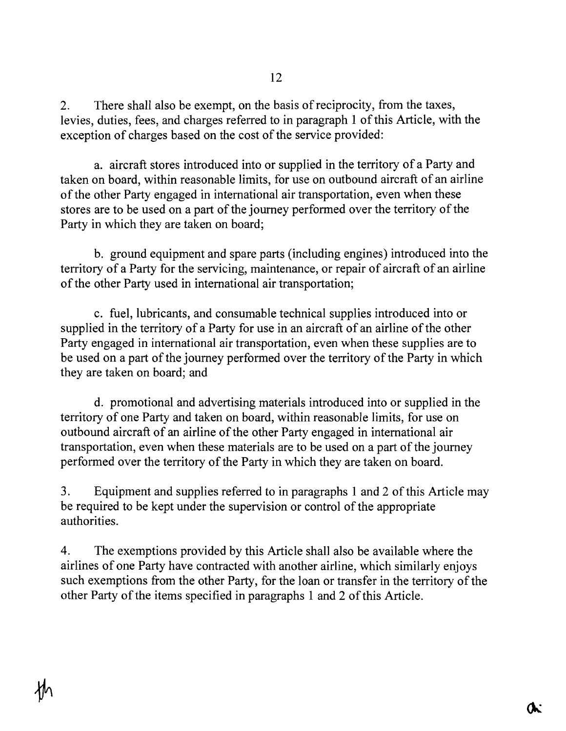2. There shall also be exempt, on the basis of reciprocity, from the taxes, levies, duties, fees, and charges referred to in paragraph 1 of this Article, with the exception of charges based on the cost of the service provided:

a. aircraft stores introduced into or supplied in the territory of a Party and taken on board, within reasonable limits, for use on outbound aircraft of an airline of the other Party engaged in international air transportation, even when these stores are to be used on a part of the journey performed over the territory of the Party in which they are taken on board;

b. ground equipment and spare parts (including engines) introduced into the territory of a Party for the servicing, maintenance, or repair of aircraft of an airline of the other Party used in international air transportation;

c. fuel, lubricants, and consumable technical supplies introduced into or supplied in the territory of a Party for use in an aircraft of an airline of the other Party engaged in international air transportation, even when these supplies are to be used on a part of the journey performed over the territory of the Party in which they are taken on board; and

d. promotional and advertising materials introduced into or supplied in the territory of one Party and taken on board, within reasonable limits, for use on outbound aircraft of an airline of the other Party engaged in international air transportation, even when these materials are to be used on a part of the journey performed over the territory of the Party in which they are taken on board.

**3.** Equipment and supplies referred to in paragraphs 1 and 2 of this Article may be required to be kept under the supervision or control of the appropriate authorities.

4. The exemptions provided by this Article shall also be available where the airlines of one Party have contracted with another airline, which similarly enjoys such exemptions from the other Party, for the loan or transfer in the territory of the other Party of the items specified in paragraphs 1 and 2 of this Article.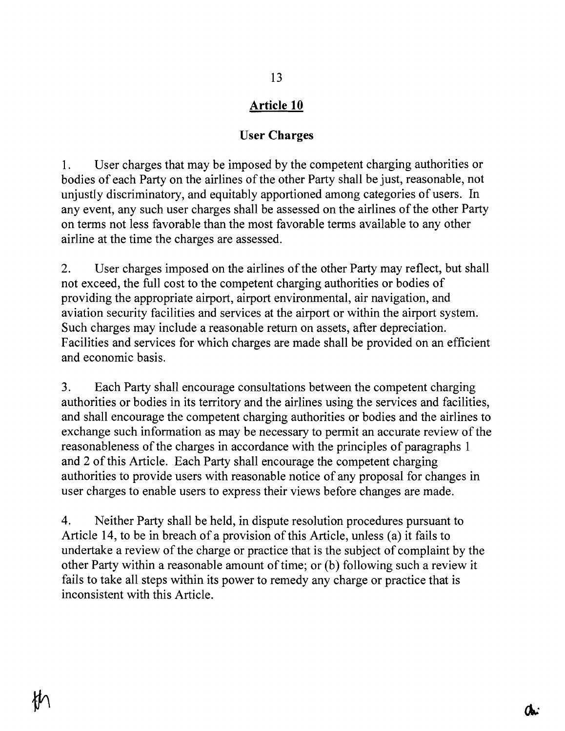### **Article 10**

### **User Charges**

1. User charges that may be imposed by the competent charging authorities or bodies of each Party on the airlines of the other Party shall be just, reasonable, not unjustly discriminatory, and equitably apportioned among categories of users. In any event, any such user charges shall be assessed on the airlines of the other Party on terms not less favorable than the most favorable terms available to any other airline at the time the charges are assessed.

2. User charges imposed on the airlines of the other Party may reflect, but shall not exceed, the full cost to the competent charging authorities or bodies of providing the appropriate airport, airport environmental, air navigation, and aviation security facilities and services at the airport or within the airport system. Such charges may include a reasonable return on assets, after depreciation. Facilities and services for which charges are made shall be provided on an efficient and economic basis.

**3.** Each Party shall encourage consultations between the competent charging authorities or bodies in its territory and the airlines using the services and facilities, and shall encourage the competent charging authorities or bodies and the airlines to exchange such information as may be necessary to permit an accurate review of the reasonableness of the charges in accordance with the principles of paragraphs 1 and 2 of this Article. Each Party shall encourage the competent charging authorities to provide users with reasonable notice of any proposal for changes in user charges to enable users to express their views before changes are made.

4. Neither Party shall be held, in dispute resolution procedures pursuant to Article 14, to be in breach of a provision of this Article, unless (a) it fails to undertake a review of the charge or practice that is the subject of complaint by the other Party within a reasonable amount of time; or (b) following such a review it fails to take all steps within its power to remedy any charge or practice that is inconsistent with this Article.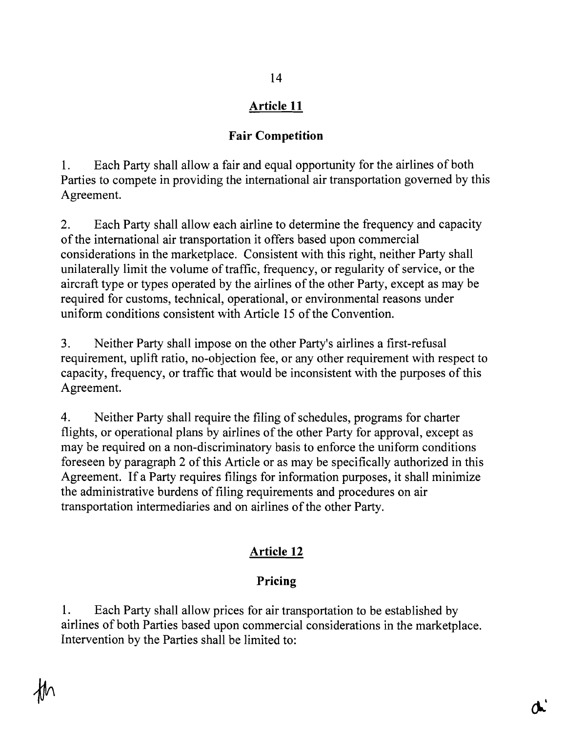# **Article 11**

14

# **Fair Competition**

1. Each Party shall allow a fair and equal opportunity for the airlines of both Parties to compete in providing the international air transportation governed by this Agreement.

2. Each Party shall allow each airline to determine the frequency and capacity of the international air transportation it offers based upon commercial considerations in the marketplace. Consistent with this right, neither Party shall unilaterally limit the volume of traffic, frequency, or regularity of service, or the aircraft type or types operated by the airlines of the other Party, except as may be required for customs, technical, operational, or environmental reasons under uniform conditions consistent with Article 15 of the Convention.

**3.** Neither Party shall impose on the other Party's airlines a first-refusal requirement, uplift ratio, no-objection fee, or any other requirement with respect to capacity, frequency, or traffic that would be inconsistent with the purposes of this Agreement.

4. Neither Party shall require the filing of schedules, programs for charter flights, or operational plans by airlines of the other Party for approval, except as may be required on a non-discriminatory basis to enforce the uniform conditions foreseen by paragraph 2 of this Article or as may be specifically authorized in this Agreement. If a Party requires filings for information purposes, it shall minimize the administrative burdens of filing requirements and procedures on air transportation intermediaries and on airlines of the other Party.

# **Article 12**

# **Pricing**

1. Each Party shall allow prices for air transportation to be established by airlines of both Parties based upon commercial considerations in the marketplace. Intervention by the Parties shall be limited to: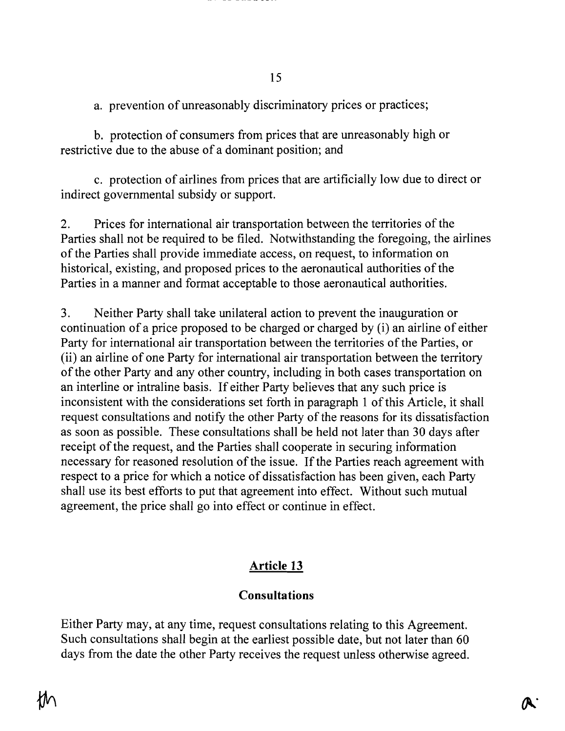a. prevention of unreasonably discriminatory prices or practices;

b. protection of consumers from prices that are unreasonably high or restrictive due to the abuse of a dominant position; and

c. protection of airlines from prices that are artificially low due to direct or indirect governmental subsidy or support.

2. Prices for international air transportation between the territories of the Parties shall not be required to be filed. Notwithstanding the foregoing, the airlines of the Parties shall provide immediate access, on request, to information on historical, existing, and proposed prices to the aeronautical authorities of the Parties in a manner and format acceptable to those aeronautical authorities.

**3.** Neither Party shall take unilateral action to prevent the inauguration or continuation of a price proposed to be charged or charged by (i) an airline of either Party for international air transportation between the territories of the Parties, or (ii) an airline of one Party for international air transportation between the territory of the other Party and any other country, including in both cases transportation on an interline or intraline basis. If either Party believes that any such price is inconsistent with the considerations set forth in paragraph 1 of this Article, it shall request consultations and notify the other Party of the reasons for its dissatisfaction as soon as possible. These consultations shall be held not later than 30 days after receipt of the request, and the Parties shall cooperate in securing information necessary for reasoned resolution of the issue. If the Parties reach agreement with respect to a price for which a notice of dissatisfaction has been given, each Party shall use its best efforts to put that agreement into effect. Without such mutual agreement, the price shall go into effect or continue in effect.

# **Article 13**

# **Consultations**

Either Party may, at any time, request consultations relating to this Agreement. Such consultations shall begin at the earliest possible date, but not later than 60 days from the date the other Party receives the request unless otherwise agreed.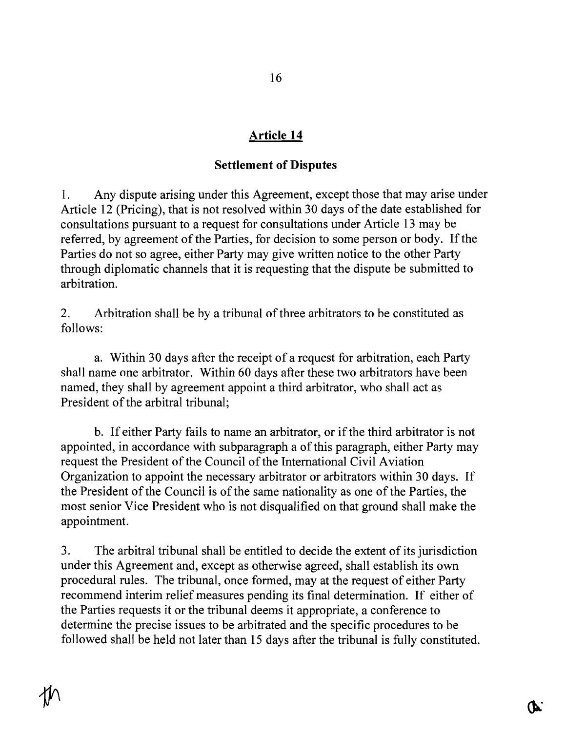#### 16

#### **Article 14**

#### **Settlement of Disputes**

1. Any dispute arising under this Agreement, except those that may arise under Article 12 (Pricing), that is not resolved within **30** days of the date established for consultations pursuant to a request for consultations under Article 13 may be referred, by agreement of the Parties, for decision to some person or body. If the Parties do not so agree, either Party may give written notice to the other Party through diplomatic channels that it is requesting that the dispute be submitted to arbitration.

2. Arbitration shall be by a tribunal of three arbitrators to be constituted as follows:

a. Within **30** days after the receipt of a request for arbitration, each Party shall name one arbitrator. Within **60** days after these two arbitrators have been named, they shall by agreement appoint a third arbitrator, who shall act as President of the arbitral tribunal;

b. If either Party fails to name an arbitrator, or if the third arbitrator is not appointed, in accordance with subparagraph a of this paragraph, either Party may request the President of the Council of the International Civil Aviation Organization to appoint the necessary arbitrator or arbitrators within **30** days. If the President of the Council is of the same nationality as one of the Parties, the most senior Vice President who is not disqualified on that ground shall make the appointment.

**3.** The arbitral tribunal shall be entitled to decide the extent of its jurisdiction under this Agreement and, except as otherwise agreed, shall establish its own procedural rules. The tribunal, once formed, may at the request of either Party recommend interim relief measures pending its final determination. If either of the Parties requests it or the tribunal deems it appropriate, a conference to determine the precise issues to be arbitrated and the specific procedures to be followed shall be held not later than 15 days after the tribunal is fully constituted.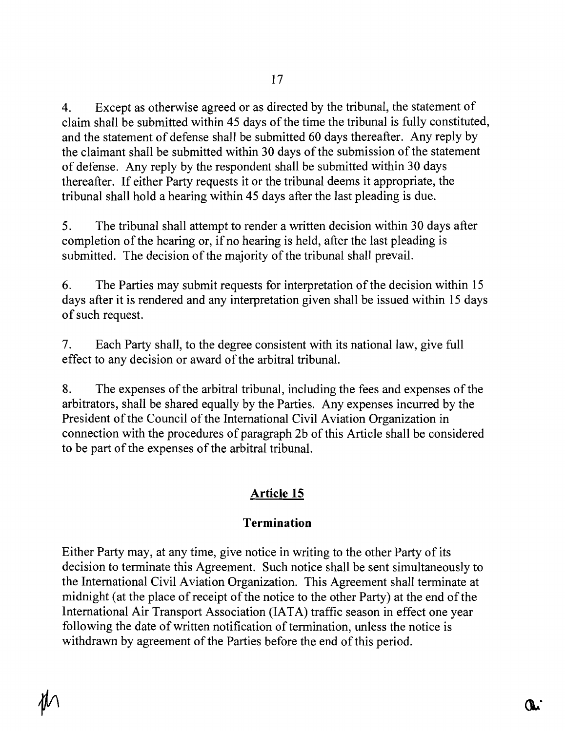4. Except as otherwise agreed or as directed by the tribunal, the statement of claim shall be submitted within 45 days of the time the tribunal is fully constituted, and the statement of defense shall be submitted 60 days thereafter. Any reply by the claimant shall be submitted within 30 days of the submission of the statement of defense. Any reply by the respondent shall be submitted within 30 days thereafter. If either Party requests it or the tribunal deems it appropriate, the tribunal shall hold a hearing within 45 days after the last pleading is due.

5. The tribunal shall attempt to render a written decision within 30 days after completion of the hearing or, if no hearing is held, after the last pleading is submitted. The decision of the majority of the tribunal shall prevail.

6. The Parties may submit requests for interpretation of the decision within 15 days after it is rendered and any interpretation given shall be issued within 15 days of such request.

7. Each Party shall, to the degree consistent with its national law, give full effect to any decision or award of the arbitral tribunal.

**8.** The expenses of the arbitral tribunal, including the fees and expenses of the arbitrators, shall be shared equally by the Parties. Any expenses incurred by the President of the Council of the International Civil Aviation Organization in connection with the procedures of paragraph 2b of this Article shall be considered to be part of the expenses of the arbitral tribunal.

# **Article 15**

## **Termination**

Either Party may, at any time, give notice in writing to the other Party of its decision to terminate this Agreement. Such notice shall be sent simultaneously to the International Civil Aviation Organization. This Agreement shall terminate at midnight (at the place of receipt of the notice to the other Party) at the end of the International Air Transport Association (IATA) traffic season in effect one year following the date of written notification of termination, unless the notice is withdrawn by agreement of the Parties before the end of this period.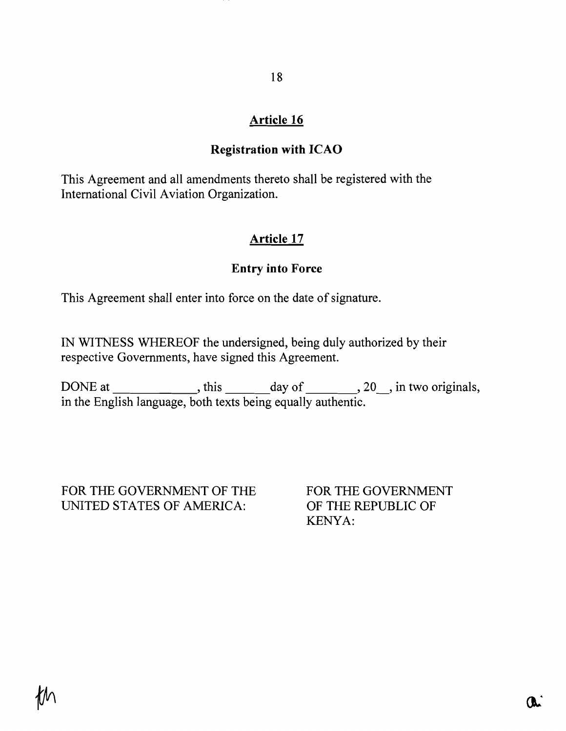# **Article 16**

# **Registration with ICAO**

This Agreement and all amendments thereto shall be registered with the International Civil Aviation Organization.

# **Article 17**

# **Entry into Force**

This Agreement shall enter into force on the date of signature.

IN WITNESS WHEREOF the undersigned, being duly authorized by their respective Governments, have signed this Agreement.

respective Governments, have signed this Agreement.<br>DONE at \_\_\_\_\_\_\_\_\_\_\_\_, this \_\_\_\_\_\_\_\_ day of \_\_\_\_\_\_\_, 20\_\_, in two originals, in the English language, both texts being equally authentic.

FOR THE GOVERNMENT OF THE **FOR THE GOVERNMENT** UNITED STATES OF AMERICA: OF THE REPUBLIC OF

KENYA: